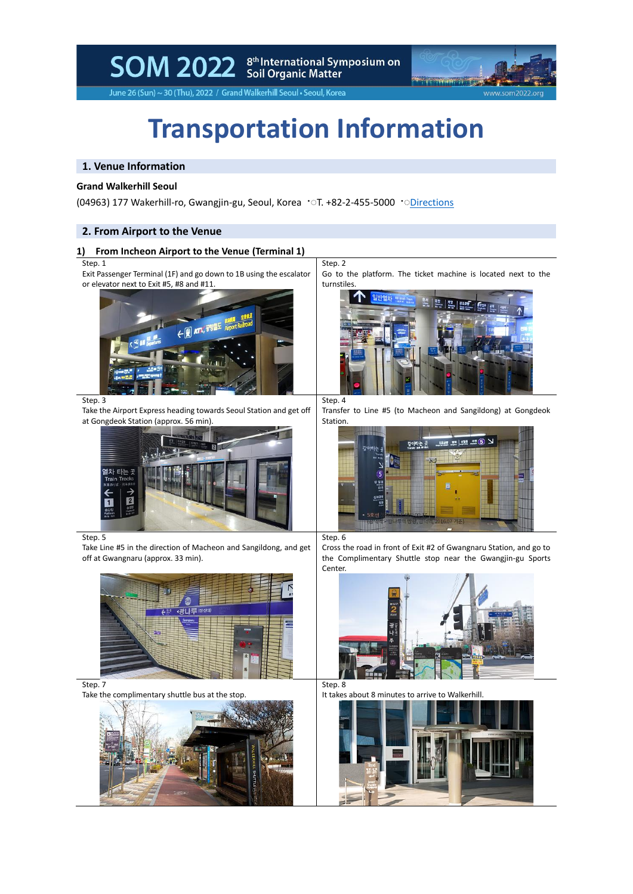SOM 2022 Stil Organic Matter<br>Soil Organic Matter



June 26 (Sun) ~ 30 (Thu), 2022 / Grand Walkerhill Seoul • Seoul, Korea

# **Transportation Information**

### **1. Venue Information**

#### **Grand Walkerhill Seoul**

(04963) 177 Wakerhill-ro, Gwangjin-gu, Seoul, Korea ·ा. +82-2-455-5000 ·[Directions](http://www.walkerhill.com/grandwalkerhillseoul/en/Map)

#### **2. From Airport to the Venue**

#### **1) From Incheon Airport to the Venue (Terminal 1)**

#### Step. 1

Exit Passenger Terminal (1F) and go down to 1B using the escalator or elevator next to Exit #5, #8 and #11.



Step. 3

Take the Airport Express heading towards Seoul Station and get off at Gongdeok Station (approx. 56 min).



Step. 5

Take Line #5 in the direction of Macheon and Sangildong, and get off at Gwangnaru (approx. 33 min).



Step. 7

Take the complimentary shuttle bus at the stop.



Step. 2

Go to the platform. The ticket machine is located next to the turnstiles.



Step. 4

Transfer to Line #5 (to Macheon and Sangildong) at Gongdeok Station.



Step. 6

Cross the road in front of Exit #2 of Gwangnaru Station, and go to the Complimentary Shuttle stop near the Gwangjin-gu Sports Center.



Step. 8 It takes about 8 minutes to arrive to Walkerhill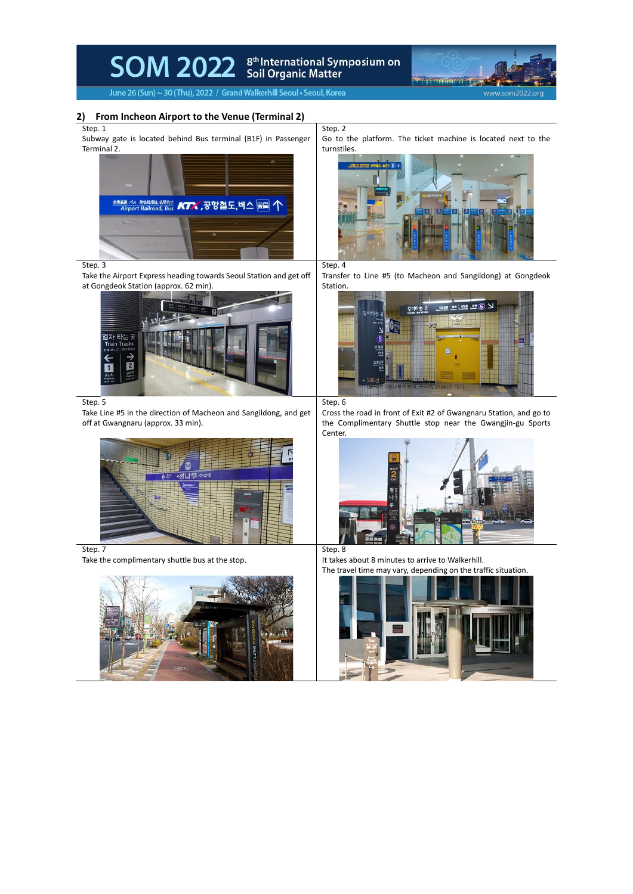



June 26 (Sun) ~ 30 (Thu), 2022 / Grand Walkerhill Seoul . Seoul, Korea

#### **2) From Incheon Airport to the Venue (Terminal 2)**

Step. 1

Subway gate is located behind Bus terminal (B1F) in Passenger Terminal 2.



Step. 3

Take the Airport Express heading towards Seoul Station and get off at Gongdeok Station (approx. 62 min).



Step. 5

Take Line #5 in the direction of Macheon and Sangildong, and get off at Gwangnaru (approx. 33 min).



#### Step. 7

Take the complimentary shuttle bus at the stop.



Step. 2 Go to the platform. The ticket machine is located next to the turnstiles.



## Step. 4

Transfer to Line #5 (to Macheon and Sangildong) at Gongdeok Station.



Step. 6

Cross the road in front of Exit #2 of Gwangnaru Station, and go to the Complimentary Shuttle stop near the Gwangjin-gu Sports Center.



It takes about 8 minutes to arrive to Walkerhill. The travel time may vary, depending on the traffic situation.

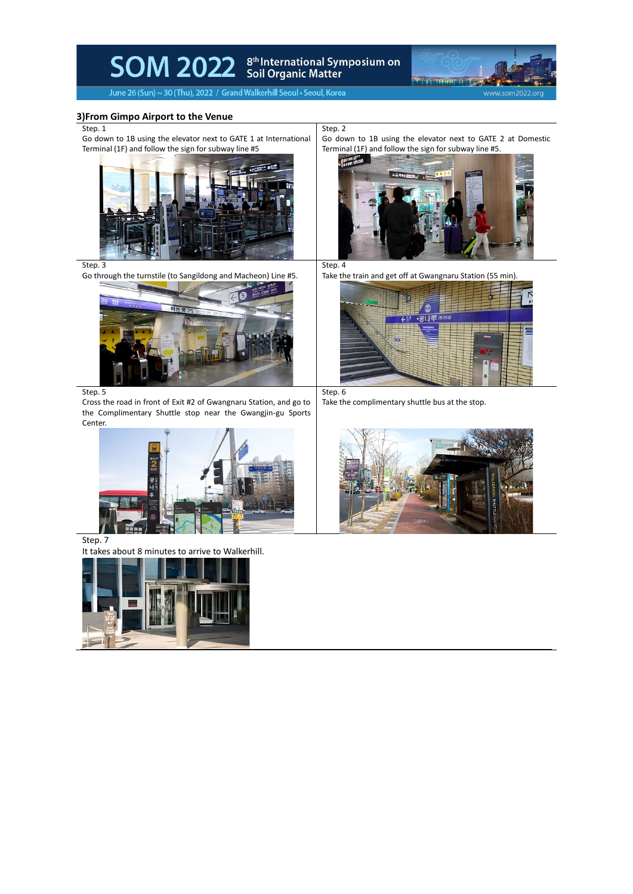SOM 2022 Scil Organic Matter



June 26 (Sun) ~ 30 (Thu), 2022 / Grand Walkerhill Seoul . Seoul, Korea

#### **3)From Gimpo Airport to the Venue**

#### Step. 1

Go down to 1B using the elevator next to GATE 1 at International Terminal (1F) and follow the sign for subway line #5



Step. 3

Go through the turnstile (to Sangildong and Macheon) Line #5.



Step. 5

Cross the road in front of Exit #2 of Gwangnaru Station, and go to the Complimentary Shuttle stop near the Gwangjin-gu Sports Center.

Step. 7

It takes about 8 minutes to arrive to Walkerhill.



Step. 2

Go down to 1B using the elevator next to GATE 2 at Domestic Terminal (1F) and follow the sign for subway line #5.



Step. 4

Take the train and get off at Gwangnaru Station (55 min).



Step. 6

Take the complimentary shuttle bus at the stop.

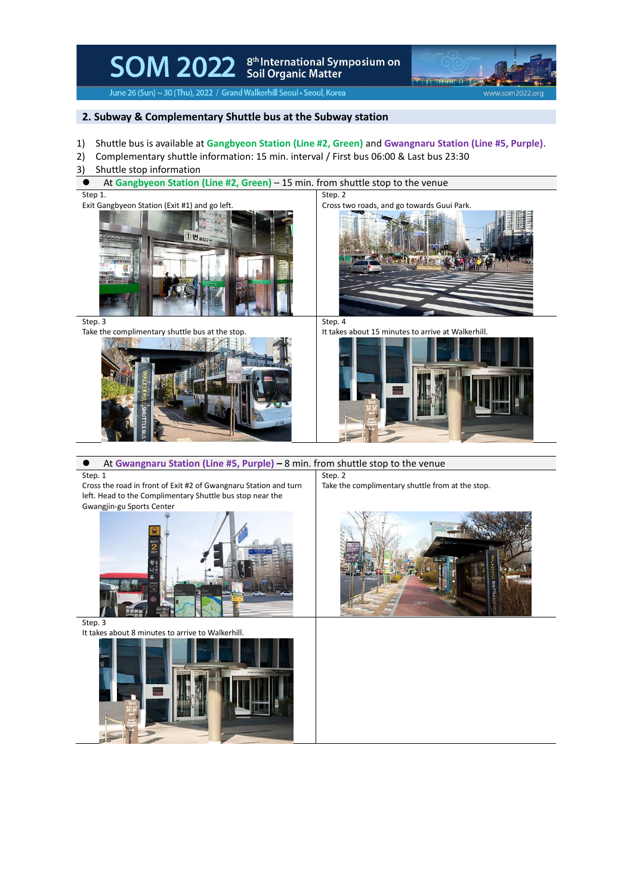SOM 2022 Scil Organic Matter<br>Soll Organic Matter



June 26 (Sun) ~ 30 (Thu), 2022 / Grand Walkerhill Seoul . Seoul, Korea

## **2. Subway & Complementary Shuttle bus at the Subway station**

- 1) Shuttle bus is available at **Gangbyeon Station (Line #2, Green)** and **Gwangnaru Station (Line #5, Purple)**.
- 2) Complementary shuttle information: 15 min. interval / First bus 06:00 & Last bus 23:30
- 3) Shuttle stop information
- ⚫ At **Gangbyeon Station (Line #2, Green)** 15 min. from shuttle stop to the venue

Step 1.

Exit Gangbyeon Station (Exit #1) and go left.



Step. 2 Cross two roads, and go towards Guui Park.



Step. 3

Take the complimentary shuttle bus at the stop.



Step. 4 It takes about 15 minutes to arrive at Walkerhill



⚫ At **Gwangnaru Station (Line #5, Purple) –** 8 min. from shuttle stop to the venue

Step. 1

Cross the road in front of Exit #2 of Gwangnaru Station and turn left. Head to the Complimentary Shuttle bus stop near the Gwangjin-gu Sports Center



Step. 3



Step. 2 Take the complimentary shuttle from at the stop.

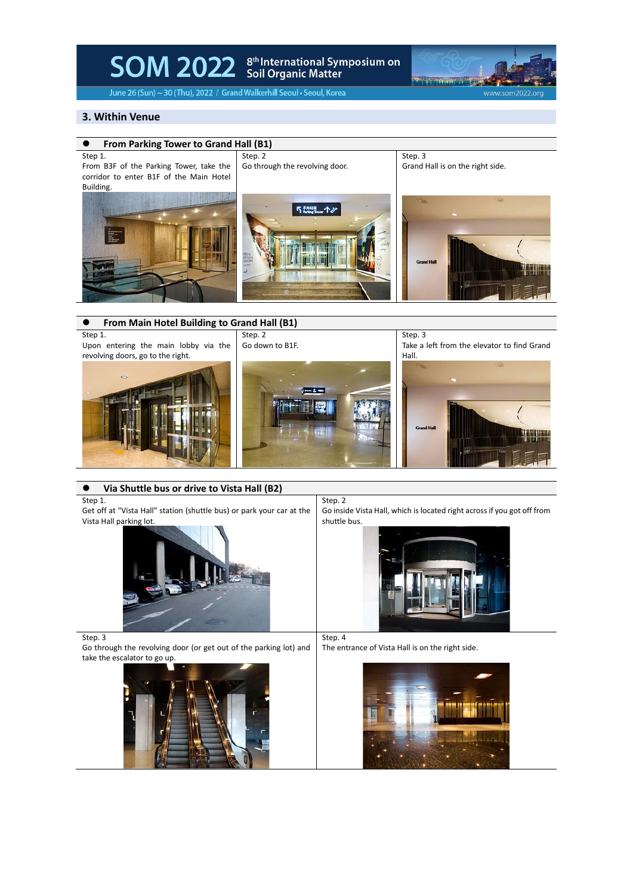# SOM 2022 Soil Organic Matter<br>Soil Organic Matter



Take a left from the elevator to find Grand

June 26 (Sun) ~ 30 (Thu), 2022 / Grand Walkerhill Seoul . Seoul, Korea

#### **3. Within Venue**



Upon entering the main lobby via the Go down to B1F.

revolving doors, go to the right.



⚫ **Via Shuttle bus or drive to Vista Hall (B2)**



Step. 4

Go inside Vista Hall, which is located right across if you got off from



Step. 3

Step 1.

Vista Hall parking lot.

Go through the revolving door (or get out of the parking lot) and take the escalator to go up. The entrance of Vista Hall is on the right side.





Hall.

Get off at "Vista Hall" station (shuttle bus) or park your car at the shuttle bus.